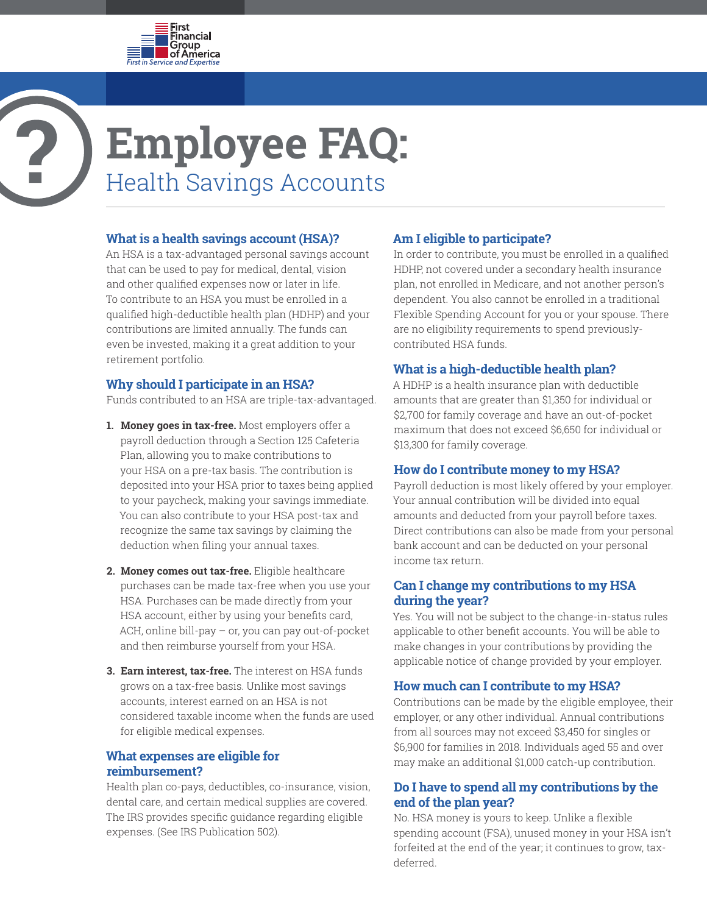

# **Employee FAQ:** Health Savings Accounts

#### **What is a health savings account (HSA)?**

An HSA is a tax-advantaged personal savings account that can be used to pay for medical, dental, vision and other qualified expenses now or later in life. To contribute to an HSA you must be enrolled in a qualified high-deductible health plan (HDHP) and your contributions are limited annually. The funds can even be invested, making it a great addition to your retirement portfolio.

# **Why should I participate in an HSA?**

Funds contributed to an HSA are triple-tax-advantaged.

- **1. Money goes in tax-free.** Most employers offer a payroll deduction through a Section 125 Cafeteria Plan, allowing you to make contributions to your HSA on a pre-tax basis. The contribution is deposited into your HSA prior to taxes being applied to your paycheck, making your savings immediate. You can also contribute to your HSA post-tax and recognize the same tax savings by claiming the deduction when filing your annual taxes.
- **2. Money comes out tax-free.** Eligible healthcare purchases can be made tax-free when you use your HSA. Purchases can be made directly from your HSA account, either by using your benefits card, ACH, online bill-pay – or, you can pay out-of-pocket and then reimburse yourself from your HSA.
- **3. Earn interest, tax-free.** The interest on HSA funds grows on a tax-free basis. Unlike most savings accounts, interest earned on an HSA is not considered taxable income when the funds are used for eligible medical expenses.

#### **What expenses are eligible for reimbursement?**

Health plan co-pays, deductibles, co-insurance, vision, dental care, and certain medical supplies are covered. The IRS provides specific guidance regarding eligible expenses. (See IRS Publication 502).

# **Am I eligible to participate?**

In order to contribute, you must be enrolled in a qualified HDHP, not covered under a secondary health insurance plan, not enrolled in Medicare, and not another person's dependent. You also cannot be enrolled in a traditional Flexible Spending Account for you or your spouse. There are no eligibility requirements to spend previouslycontributed HSA funds.

# **What is a high-deductible health plan?**

A HDHP is a health insurance plan with deductible amounts that are greater than \$1,350 for individual or \$2,700 for family coverage and have an out-of-pocket maximum that does not exceed \$6,650 for individual or \$13,300 for family coverage.

# **How do I contribute money to my HSA?**

Payroll deduction is most likely offered by your employer. Your annual contribution will be divided into equal amounts and deducted from your payroll before taxes. Direct contributions can also be made from your personal bank account and can be deducted on your personal income tax return.

# **Can I change my contributions to my HSA during the year?**

Yes. You will not be subject to the change-in-status rules applicable to other benefit accounts. You will be able to make changes in your contributions by providing the applicable notice of change provided by your employer.

# **How much can I contribute to my HSA?**

Contributions can be made by the eligible employee, their employer, or any other individual. Annual contributions from all sources may not exceed \$3,450 for singles or \$6,900 for families in 2018. Individuals aged 55 and over may make an additional \$1,000 catch-up contribution.

# **Do I have to spend all my contributions by the end of the plan year?**

No. HSA money is yours to keep. Unlike a flexible spending account (FSA), unused money in your HSA isn't forfeited at the end of the year; it continues to grow, taxdeferred.